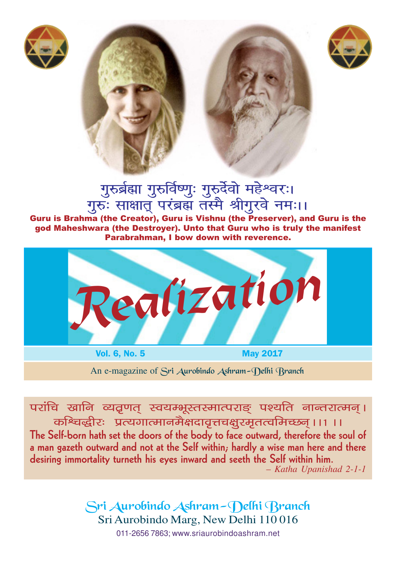



# गुरुर्ब्रह्मा गुरुर्विष्णुः गुरुर्देवो महेश्वरः। गुरुः साक्षात् परंब्रह्मं तस्मै श्रीगुरवे नमः।।

Guru is Brahma (the Creator), Guru is Vishnu (the Preserver), and Guru is the god Maheshwara (the Destroyer). Unto that Guru who is truly the manifest Parabrahman, I bow down with reverence.



An e-magazine of Sri Aurobindo Ashram-Delhi Branch

परांचि खानि व्यव्रणत् स्वयम्भूस्तस्मात्पराङ् पश्यति नान्तरात्मन् । कश्चिद्धीरः प्रत्यगात्मानमेक्षदावृत्तचक्षुरमृतत्वमिच्छन् ।।1 ।। **The Self-born hath set the doors of the body to face outward, therefore the soul of a man gazeth outward and not at the Self within; hardly a wise man here and there desiring immortality turneth his eyes inward and seeth the Self within him.** – *Katha Upanishad 2-1-1*

> Sri Aurobindo Ashram-Delhi Branch Sri Aurobindo Marg, New Delhi 110 016

011-2656 7863; www.sriaurobindoashram.net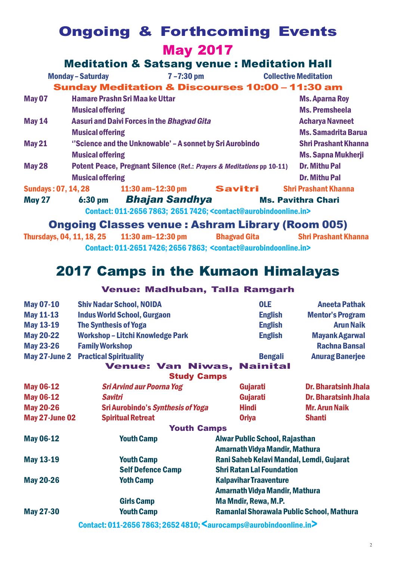# Ongoing & Forthcoming Events May 2017

## Meditation & Satsang venue : Meditation Hall

| <b>Monday - Saturday</b>   |                                                                       | $7 - 7:30$ pm                                                                                |                       | <b>Collective Meditation</b> |
|----------------------------|-----------------------------------------------------------------------|----------------------------------------------------------------------------------------------|-----------------------|------------------------------|
|                            |                                                                       | <b>Sunday Meditation &amp; Discourses 10:00 - 11:30 am</b>                                   |                       |                              |
| May 07                     |                                                                       | <b>Hamare Prashn Sri Maa ke Uttar</b>                                                        |                       |                              |
|                            | <b>Musical offering</b>                                               |                                                                                              | <b>Ms. Premsheela</b> |                              |
| <b>May 14</b>              | Aasuri and Daivi Forces in the Bhagvad Gita                           |                                                                                              |                       | <b>Acharya Navneet</b>       |
|                            | <b>Musical offering</b>                                               | <b>Ms. Samadrita Barua</b>                                                                   |                       |                              |
| <b>May 21</b>              | "Science and the Unknowable' - A sonnet by Sri Aurobindo              |                                                                                              |                       | <b>Shri Prashant Khanna</b>  |
|                            | <b>Musical offering</b>                                               | <b>Ms. Sapna Mukherji</b>                                                                    |                       |                              |
| <b>May 28</b>              | Potent Peace, Pregnant Silence (Ref.: Prayers & Meditations pp 10-11) |                                                                                              |                       | <b>Dr. Mithu Pal</b>         |
|                            | <b>Musical offering</b>                                               |                                                                                              |                       | <b>Dr. Mithu Pal</b>         |
| <b>Sundays: 07, 14, 28</b> |                                                                       | 11:30 am-12:30 pm Savitri                                                                    |                       | <b>Shri Prashant Khanna</b>  |
| May 27                     | $6:30 \text{ pm}$                                                     | <b>Bhajan Sandhya</b>                                                                        |                       | <b>Ms. Pavithra Chari</b>    |
|                            |                                                                       | Contact: 011-2656 7863; 2651 7426; <contact@aurobindoonline.in></contact@aurobindoonline.in> |                       |                              |
|                            |                                                                       |                                                                                              |                       |                              |

Ongoing Classes venue : Ashram Library (Room 005) Thursdays, 04, 11, 18, 25 11:30 am–12:30 pm Bhagvad Gita Shri Prashant Khanna Contact: 011-2651 7426; 2656 7863; <contact@aurobindoonline.in>

# 2017 Camps in the Kumaon Himalayas

#### Venue: Madhuban, Talla Ramgarh

| <b>May 07-10</b>      | <b>Shiv Nadar School, NOIDA</b>                                          |  | <b>OLE</b>                               | <b>Aneeta Pathak</b>                      |
|-----------------------|--------------------------------------------------------------------------|--|------------------------------------------|-------------------------------------------|
| <b>May 11-13</b>      | <b>Indus World School, Gurgaon</b>                                       |  | <b>English</b>                           | <b>Mentor's Program</b>                   |
| <b>May 13-19</b>      | <b>The Synthesis of Yoga</b>                                             |  | <b>English</b>                           | <b>Arun Naik</b>                          |
| <b>May 20-22</b>      | <b>Workshop - Litchi Knowledge Park</b>                                  |  | <b>English</b>                           | <b>Mayank Agarwal</b>                     |
| <b>May 23-26</b>      | <b>Family Workshop</b>                                                   |  |                                          | <b>Rachna Bansal</b>                      |
| May 27-June 2         | <b>Practical Spirituality</b>                                            |  | <b>Bengali</b>                           | <b>Anurag Banerjee</b>                    |
|                       | <b>Venue: Van Niwas, Nainital</b>                                        |  |                                          |                                           |
|                       | <b>Study Camps</b>                                                       |  |                                          |                                           |
| <b>May 06-12</b>      | <b>Sri Arvind aur Poorna Yog</b>                                         |  | <b>Gujarati</b>                          | <b>Dr. Bharatsinh Jhala</b>               |
| <b>May 06-12</b>      | <b>Savitri</b>                                                           |  | Gujarati                                 | <b>Dr. Bharatsinh Jhala</b>               |
| <b>May 20-26</b>      | <b>Sri Aurobindo's Synthesis of Yoga</b>                                 |  | <b>Hindi</b>                             | <b>Mr. Arun Naik</b>                      |
| <b>May 27-June 02</b> | <b>Spiritual Retreat</b>                                                 |  | <b>Oriya</b>                             | <b>Shanti</b>                             |
|                       | <b>Youth Camps</b>                                                       |  |                                          |                                           |
| <b>May 06-12</b>      | <b>Youth Camp</b>                                                        |  | <b>Alwar Public School, Rajasthan</b>    |                                           |
|                       |                                                                          |  | <b>Amarnath Vidya Mandir, Mathura</b>    |                                           |
| <b>May 13-19</b>      | <b>Youth Camp</b>                                                        |  | Rani Saheb Kelavi Mandal, Lemdi, Gujarat |                                           |
|                       | <b>Self Defence Camp</b>                                                 |  | <b>Shri Ratan Lal Foundation</b>         |                                           |
| <b>May 20-26</b>      | <b>Yoth Camp</b>                                                         |  | <b>Kalpavihar Traaventure</b>            |                                           |
|                       |                                                                          |  | <b>Amarnath Vidya Mandir, Mathura</b>    |                                           |
|                       | <b>Girls Camp</b>                                                        |  | <b>Ma Mndir, Rewa, M.P.</b>              |                                           |
| <b>May 27-30</b>      | <b>Youth Camp</b>                                                        |  |                                          | Ramanial Shorawala Public School, Mathura |
|                       | $0$ entest: 044.0050.7009.0050.4040; $\ell$ enussempe@enushindeepline.in |  |                                          |                                           |

Contact: 011-2656 7863; 2652 4810; <aurocamps@aurobindoonline.in>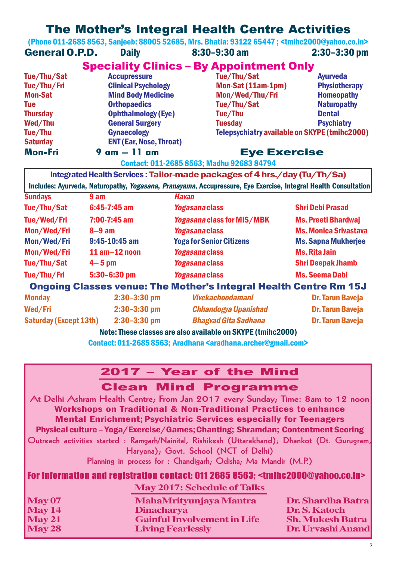## The Mother's Integral Health Centre Activities

(Phone 011-2685 8563, Sanjeeb: 88005 52685, Mrs. Bhatia: 93122 65447 ; <tmihc2000@yahoo.co.in>

| <b>General O.P.D.</b> | <b>Daily</b>                   | $8:30-9:30$ am                                                                                                 | $2:30-3:30$ pm                                       |  |  |
|-----------------------|--------------------------------|----------------------------------------------------------------------------------------------------------------|------------------------------------------------------|--|--|
|                       |                                | <b>Speciality Clinics – By Appointment Only</b>                                                                |                                                      |  |  |
| Tue/Thu/Sat           | <b>Accupressure</b>            | Tue/Thu/Sat                                                                                                    | <b>Ayurveda</b>                                      |  |  |
| Tue/Thu/Fri           | <b>Clinical Psychology</b>     | Mon-Sat (11am-1pm)                                                                                             | <b>Physiotherapy</b>                                 |  |  |
| <b>Mon-Sat</b>        | <b>Mind Body Medicine</b>      | Mon/Wed/Thu/Fri                                                                                                | <b>Homeopathy</b>                                    |  |  |
| <b>Tue</b>            | <b>Orthopaedics</b>            | Tue/Thu/Sat                                                                                                    | <b>Naturopathy</b>                                   |  |  |
| <b>Thursday</b>       | <b>Ophthalmology (Eye)</b>     | Tue/Thu                                                                                                        | <b>Dental</b>                                        |  |  |
| Wed/Thu               | <b>General Surgery</b>         | <b>Tuesday</b>                                                                                                 | <b>Psychiatry</b>                                    |  |  |
| Tue/Thu               | <b>Gynaecology</b>             |                                                                                                                | <b>Telepsychiatry available on SKYPE (tmihc2000)</b> |  |  |
| <b>Saturday</b>       | <b>ENT (Ear, Nose, Throat)</b> |                                                                                                                |                                                      |  |  |
| <b>Mon-Fri</b>        | $9$ am $-$ 11 am               | <b>Eye Exercise</b>                                                                                            |                                                      |  |  |
|                       |                                | Contact: 011-2685 8563; Madhu 92683 84794                                                                      |                                                      |  |  |
|                       |                                | Integrated Health Services: Tailor-made packages of 4 hrs./day (Tu/Th/Sa)                                      |                                                      |  |  |
|                       |                                | Includes: Ayurveda, Naturopathy, Yogasana, Pranayama, Accupressure, Eye Exercise, Integral Health Consultation |                                                      |  |  |
| <b>Sundays</b>        | 9 am                           | <b>Havan</b>                                                                                                   |                                                      |  |  |
| Tue/Thu/Sat           | $6:45-7:45$ am                 | <i><b>Yogasanaclass</b></i>                                                                                    | <b>Shri Debi Prasad</b>                              |  |  |
| Tue/Wed/Fri           | $7:00-7:45$ am                 | Yogasana class for MIS/MBK                                                                                     | <b>Ms. Preeti Bhardwaj</b>                           |  |  |
| Mon/Wed/Fri           | $8-9$ am                       | <i><b>Yogasanaclass</b></i>                                                                                    | <b>Ms. Monica Srivastava</b>                         |  |  |
| Mon/Wed/Fri           | $9:45-10:45$ am                | <b>Yoga for Senior Citizens</b>                                                                                | <b>Ms. Sapna Mukherjee</b>                           |  |  |

Mon/Wed/Fri 11 am–12 noon *Yogasana* class Month Ms. Rita Jain Tue/Thu/Sat 4– 5 pm Yogasana class Shri Deepak Jhamb Tue/Thu/Fri 5:30–6:30 pm *Yogasana* class Ms. Seema Dabi

### Ongoing Classes venue: The Mother's Integral Health Centre Rm 15J

| <b>Monday</b>          | $2:30 - 3:30$ pm | Vivekachoodamani                   | <b>Dr. Tarun Baveja</b> |
|------------------------|------------------|------------------------------------|-------------------------|
| Wed/Fri                | $2:30 - 3:30$ pm | Chhandogya Upanishad               | <b>Dr. Tarun Baveja</b> |
| Saturday (Except 13th) | $2:30-3:30$ pm   | <i><b>Bhagvad Gita Sadhana</b></i> | <b>Dr. Tarun Baveja</b> |

#### Note: These classes are also available on SKYPE (tmihc2000)

Contact: 011-2685 8563; Aradhana <aradhana.archer@gmail.com>

## 2017 – Year of the Mind

## Clean Mind Programme

**At Delhi Ashram Health Centre; From Jan 2017 every Sunday; Time: 8am to 12 noon** Workshops on Traditional & Non-Traditional Practices to enhance Mental Enrichment; Psychiatric Services especially for Teenagers Physical culture – Yoga/Exercise/Games; Chanting; Shramdan; Contentment Scoring **Outreach activities started : Ramgarh/Nainital, Rishikesh (Uttarakhand); Dhankot (Dt. Gurugram, Haryana); Govt. School (NCT of Delhi) Planning in process for : Chandigarh; Odisha; Ma Mandir (M.P.)** For information and registration contact: 011 2685 8563; <tmihc2000@yahoo.co.in> **May 2017: Schedule of Talks**

| <b>May 07</b>      | <b>MahaMrityunjaya Mantra</b>      | <b>Dr. Shardha Batra</b> |
|--------------------|------------------------------------|--------------------------|
| $\mathbf{May}\,14$ | <b>Dinacharya</b>                  | <b>Dr. S. Katoch</b>     |
| $\mathbf{May\,21}$ | <b>Gainful Involvement in Life</b> | <b>Sh. Mukesh Batra</b>  |
| <b>May 28</b>      | <b>Living Fearlessly</b>           | Dr. Urvashi Anand        |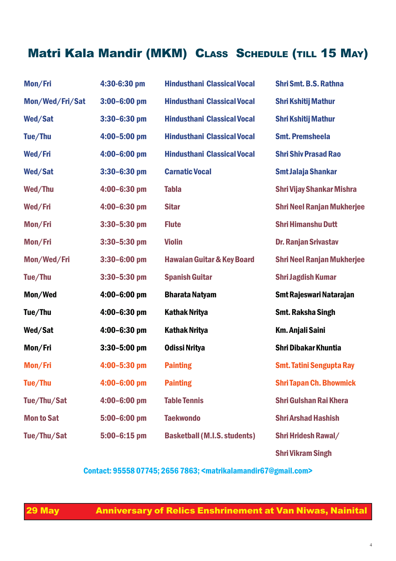## Matri Kala Mandir (MKM) CLASS SCHEDULE (TILL 15 MAY)

| Mon/Fri           | 4:30-6:30 pm     | <b>Hindusthani Classical Vocal</b>    | <b>Shri Smt. B.S. Rathna</b>      |
|-------------------|------------------|---------------------------------------|-----------------------------------|
| Mon/Wed/Fri/Sat   | $3:00 - 6:00$ pm | <b>Hindusthani Classical Vocal</b>    | <b>Shri Kshitij Mathur</b>        |
| Wed/Sat           | $3:30 - 6:30$ pm | <b>Hindusthani Classical Vocal</b>    | <b>Shri Kshitij Mathur</b>        |
| Tue/Thu           | $4:00 - 5:00$ pm | <b>Hindusthani Classical Vocal</b>    | <b>Smt. Premsheela</b>            |
| Wed/Fri           | 4:00-6:00 pm     | <b>Hindusthani Classical Vocal</b>    | <b>Shri Shiv Prasad Rao</b>       |
| Wed/Sat           | $3:30 - 6:30$ pm | <b>Carnatic Vocal</b>                 | <b>Smt Jalaja Shankar</b>         |
| Wed/Thu           | 4:00-6:30 pm     | <b>Tabla</b>                          | <b>Shri Vijay Shankar Mishra</b>  |
| Wed/Fri           | 4:00-6:30 pm     | <b>Sitar</b>                          | <b>Shri Neel Ranjan Mukherjee</b> |
| Mon/Fri           | $3:30 - 5:30$ pm | <b>Flute</b>                          | <b>Shri Himanshu Dutt</b>         |
| Mon/Fri           | $3:30 - 5:30$ pm | <b>Violin</b>                         | <b>Dr. Ranjan Srivastav</b>       |
| Mon/Wed/Fri       | $3:30 - 6:00$ pm | <b>Hawaian Guitar &amp; Key Board</b> | <b>Shri Neel Ranjan Mukherjee</b> |
| Tue/Thu           | $3:30 - 5:30$ pm | <b>Spanish Guitar</b>                 | <b>Shri Jagdish Kumar</b>         |
| Mon/Wed           | $4:00 - 6:00$ pm | <b>Bharata Natyam</b>                 | Smt Rajeswari Natarajan           |
| Tue/Thu           | $4:00 - 6:30$ pm | Kathak Nritya                         | <b>Smt. Raksha Singh</b>          |
| Wed/Sat           | $4:00 - 6:30$ pm | <b>Kathak Nritya</b>                  | <b>Km. Anjali Saini</b>           |
| Mon/Fri           | $3:30 - 5:00$ pm | Odissi Nritya                         | <b>Shri Dibakar Khuntia</b>       |
| Mon/Fri           | 4:00-5:30 pm     | <b>Painting</b>                       | <b>Smt. Tatini Sengupta Ray</b>   |
| Tue/Thu           | 4:00-6:00 pm     | <b>Painting</b>                       | <b>Shri Tapan Ch. Bhowmick</b>    |
| Tue/Thu/Sat       | 4:00-6:00 pm     | <b>Table Tennis</b>                   | <b>Shri Gulshan Rai Khera</b>     |
| <b>Mon to Sat</b> | 5:00-6:00 pm     | <b>Taekwondo</b>                      | <b>Shri Arshad Hashish</b>        |
| Tue/Thu/Sat       | $5:00 - 6:15$ pm | <b>Basketball (M.I.S. students)</b>   | <b>Shri Hridesh Rawal/</b>        |
|                   |                  |                                       | <b>Shri Vikram Singh</b>          |

Contact: 95558 07745; 2656 7863; <matrikalamandir67@gmail.com>

29 May **Anniversary of Relics Enshrinement at Van Niwas, Nainital**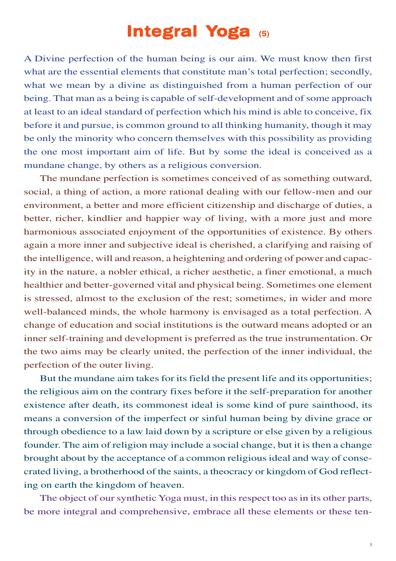# Integral Yoga (5)

A Divine perfection of the human being is our aim. We must know then first what are the essential elements that constitute man's total perfection; secondly, what we mean by a divine as distinguished from a human perfection of our being. That man as a being is capable of self-development and of some approach at least to an ideal standard of perfection which his mind is able to conceive, fix before it and pursue, is common ground to all thinking humanity, though it may be only the minority who concern themselves with this possibility as providing the one most important aim of life. But by some the ideal is conceived as a mundane change, by others as a religious conversion.

The mundane perfection is sometimes conceived of as something outward, social, a thing of action, a more rational dealing with our fellow-men and our environment, a better and more efficient citizenship and discharge of duties, a better, richer, kindlier and happier way of living, with a more just and more harmonious associated enjoyment of the opportunities of existence. By others again a more inner and subjective ideal is cherished, a clarifying and raising of the intelligence, will and reason, a heightening and ordering of power and capacity in the nature, a nobler ethical, a richer aesthetic, a finer emotional, a much healthier and better-governed vital and physical being. Sometimes one element is stressed, almost to the exclusion of the rest; sometimes, in wider and more well-balanced minds, the whole harmony is envisaged as a total perfection. A change of education and social institutions is the outward means adopted or an inner self-training and development is preferred as the true instrumentation. Or the two aims may be clearly united, the perfection of the inner individual, the perfection of the outer living.

But the mundane aim takes for its field the present life and its opportunities; the religious aim on the contrary fixes before it the self-preparation for another existence after death, its commonest ideal is some kind of pure sainthood, its means a conversion of the imperfect or sinful human being by divine grace or through obedience to a law laid down by a scripture or else given by a religious founder. The aim of religion may include a social change, but it is then a change brought about by the acceptance of a common religious ideal and way of consecrated living, a brotherhood of the saints, a theocracy or kingdom of God reflecting on earth the kingdom of heaven.

The object of our synthetic Yoga must, in this respect too as in its other parts, be more integral and comprehensive, embrace all these elements or these ten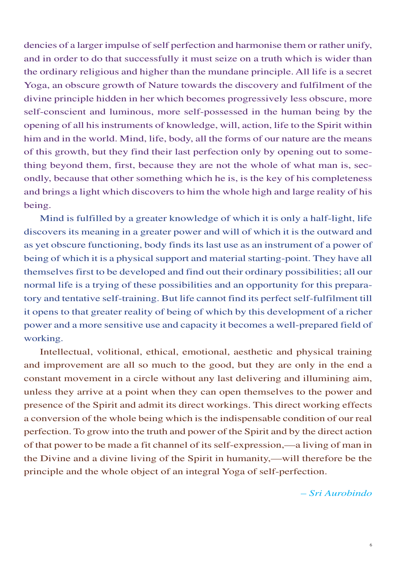dencies of a larger impulse of self perfection and harmonise them or rather unify, and in order to do that successfully it must seize on a truth which is wider than the ordinary religious and higher than the mundane principle. All life is a secret Yoga, an obscure growth of Nature towards the discovery and fulfilment of the divine principle hidden in her which becomes progressively less obscure, more self-conscient and luminous, more self-possessed in the human being by the opening of all his instruments of knowledge, will, action, life to the Spirit within him and in the world. Mind, life, body, all the forms of our nature are the means of this growth, but they find their last perfection only by opening out to something beyond them, first, because they are not the whole of what man is, secondly, because that other something which he is, is the key of his completeness and brings a light which discovers to him the whole high and large reality of his being.

Mind is fulfilled by a greater knowledge of which it is only a half-light, life discovers its meaning in a greater power and will of which it is the outward and as yet obscure functioning, body finds its last use as an instrument of a power of being of which it is a physical support and material starting-point. They have all themselves first to be developed and find out their ordinary possibilities; all our normal life is a trying of these possibilities and an opportunity for this preparatory and tentative self-training. But life cannot find its perfect self-fulfilment till it opens to that greater reality of being of which by this development of a richer power and a more sensitive use and capacity it becomes a well-prepared field of working.

Intellectual, volitional, ethical, emotional, aesthetic and physical training and improvement are all so much to the good, but they are only in the end a constant movement in a circle without any last delivering and illumining aim, unless they arrive at a point when they can open themselves to the power and presence of the Spirit and admit its direct workings. This direct working effects a conversion of the whole being which is the indispensable condition of our real perfection. To grow into the truth and power of the Spirit and by the direct action of that power to be made a fit channel of its self-expression,—a living of man in the Divine and a divine living of the Spirit in humanity,—will therefore be the principle and the whole object of an integral Yoga of self-perfection.

– *Sri Aurobindo*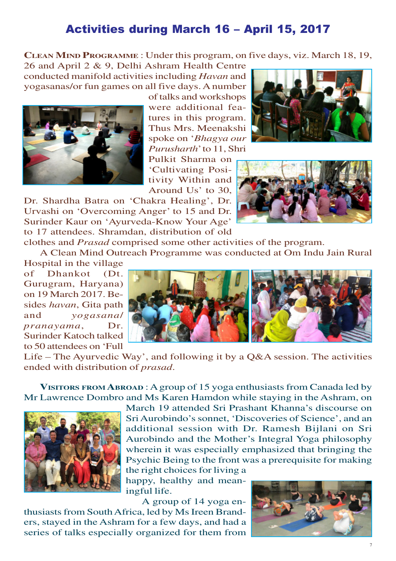## Activities during March 16 – April 15, 2017

**CLEAN MIND PROGRAMME** : Under this program, on five days, viz. March 18, 19,

26 and April 2 & 9, Delhi Ashram Health Centre conducted manifold activities including *Havan* and yogasanas/or fun games on all five days. A number



of talks and workshops were additional features in this program. Thus Mrs. Meenakshi spoke on '*Bhagya our Purusharth*' to 11, Shri Pulkit Sharma on

'Cultivating Positivity Within and Around Us' to 30,

Dr. Shardha Batra on 'Chakra Healing', Dr. Urvashi on 'Overcoming Anger' to 15 and Dr. Surinder Kaur on 'Ayurveda-Know Your Age' to 17 attendees. Shramdan, distribution of old





clothes and *Prasad* comprised some other activities of the program.

A Clean Mind Outreach Programme was conducted at Om Indu Jain Rural Hospital in the village

of Dhankot (Dt. Gurugram, Haryana) on 19 March 2017. Besides *havan*, Gita path and *yogasana*/ *pranayama*, Dr. Surinder Katoch talked to 50 attendees on 'Full



Life – The Ayurvedic Way', and following it by a Q&A session. The activities ended with distribution of *prasad*.

**VISITORS FROM ABROAD** : A group of 15 yoga enthusiasts from Canada led by Mr Lawrence Dombro and Ms Karen Hamdon while staying in the Ashram, on



March 19 attended Sri Prashant Khanna's discourse on Sri Aurobindo's sonnet, 'Discoveries of Science', and an additional session with Dr. Ramesh Bijlani on Sri Aurobindo and the Mother's Integral Yoga philosophy wherein it was especially emphasized that bringing the Psychic Being to the front was a prerequisite for making the right choices for living a

happy, healthy and meaningful life.

A group of 14 yoga en-

thusiasts from South Africa, led by Ms Ireen Branders, stayed in the Ashram for a few days, and had a series of talks especially organized for them from

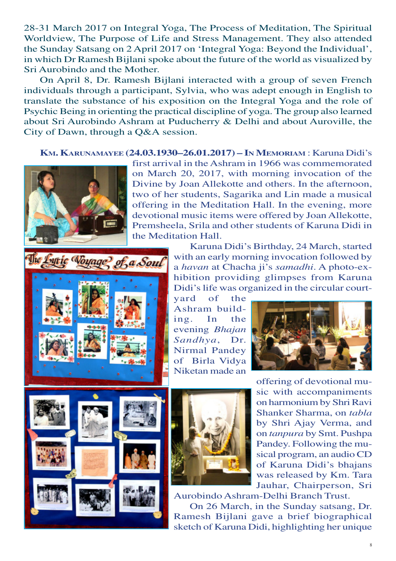28-31 March 2017 on Integral Yoga, The Process of Meditation, The Spiritual Worldview, The Purpose of Life and Stress Management. They also attended the Sunday Satsang on 2 April 2017 on 'Integral Yoga: Beyond the Individual', in which Dr Ramesh Bijlani spoke about the future of the world as visualized by Sri Aurobindo and the Mother.

On April 8, Dr. Ramesh Bijlani interacted with a group of seven French individuals through a participant, Sylvia, who was adept enough in English to translate the substance of his exposition on the Integral Yoga and the role of Psychic Being in orienting the practical discipline of yoga. The group also learned about Sri Aurobindo Ashram at Puducherry & Delhi and about Auroville, the City of Dawn, through a Q&A session.

**KM. KARUNAMAYEE (24.03.1930–26.01.2017) – IN MEMORIAM** : Karuna Didi's



first arrival in the Ashram in 1966 was commemorated on March 20, 2017, with morning invocation of the Divine by Joan Allekotte and others. In the afternoon, two of her students, Sagarika and Lin made a musical offering in the Meditation Hall. In the evening, more devotional music items were offered by Joan Allekotte, Premsheela, Srila and other students of Karuna Didi in the Meditation Hall.



Karuna Didi's Birthday, 24 March, started with an early morning invocation followed by a *havan* at Chacha ji's *samadhi*. A photo-exhibition providing glimpses from Karuna Didi's life was organized in the circular court-

yard of the Ashram building. In the evening *Bhajan Sandhya*, Dr. Nirmal Pandey of Birla Vidya Niketan made an







offering of devotional music with accompaniments on harmonium by Shri Ravi Shanker Sharma, on *tabla* by Shri Ajay Verma, and on *tanpura* by Smt. Pushpa Pandey. Following the musical program, an audio CD of Karuna Didi's bhajans was released by Km. Tara Jauhar, Chairperson, Sri

Aurobindo Ashram-Delhi Branch Trust. On 26 March, in the Sunday satsang, Dr. Ramesh Bijlani gave a brief biographical sketch of Karuna Didi, highlighting her unique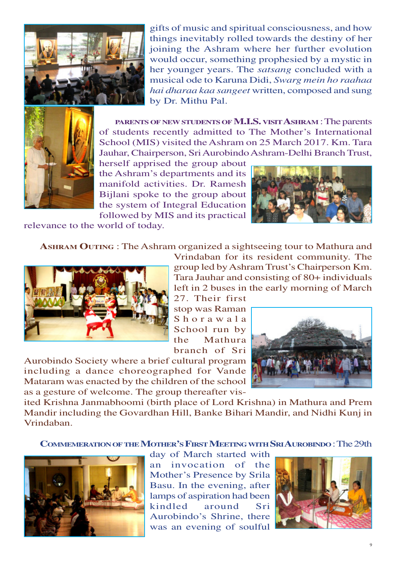

gifts of music and spiritual consciousness, and how things inevitably rolled towards the destiny of her joining the Ashram where her further evolution would occur, something prophesied by a mystic in her younger years. The *satsang* concluded with a musical ode to Karuna Didi, *Swarg mein ho raahaa hai dharaa kaa sangeet* written, composed and sung by Dr. Mithu Pal.



**PARENTS OF NEW STUDENTS OF M.I.S. VISIT ASHRAM** : The parents of students recently admitted to The Mother's International School (MIS) visited the Ashram on 25 March 2017. Km. Tara Jauhar, Chairperson, Sri Aurobindo Ashram-Delhi Branch Trust,

herself apprised the group about the Ashram's departments and its manifold activities. Dr. Ramesh Bijlani spoke to the group about the system of Integral Education followed by MIS and its practical



relevance to the world of today.

**ASHRAM OUTING** : The Ashram organized a sightseeing tour to Mathura and



Vrindaban for its resident community. The group led by Ashram Trust's Chairperson Km. Tara Jauhar and consisting of 80+ individuals left in 2 buses in the early morning of March 27. Their first

stop was Raman Shorawala School run by the Mathura





ited Krishna Janmabhoomi (birth place of Lord Krishna) in Mathura and Prem Mandir including the Govardhan Hill, Banke Bihari Mandir, and Nidhi Kunj in Vrindaban.

**COMMEMERATIONOFTHE MOTHER'S FIRST MEETINGWITH SRI AUROBINDO**: The 29th



day of March started with an invocation of the Mother's Presence by Srila Basu. In the evening, after lamps of aspiration had been kindled around Sri Aurobindo's Shrine, there was an evening of soulful

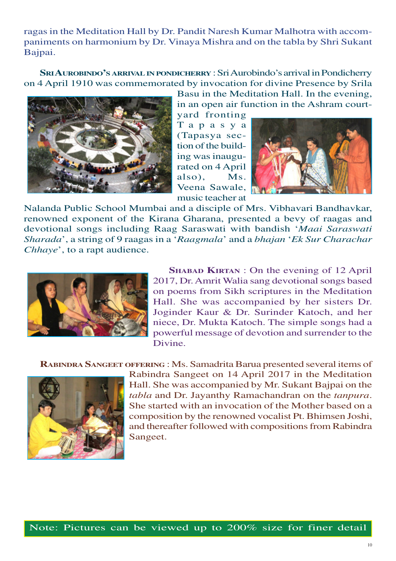ragas in the Meditation Hall by Dr. Pandit Naresh Kumar Malhotra with accompaniments on harmonium by Dr. Vinaya Mishra and on the tabla by Shri Sukant Bajpai.

**SRI AUROBINDO'<sup>S</sup> ARRIVALIN PONDICHERRY** : Sri Aurobindo's arrival in Pondicherry on 4 April 1910 was commemorated by invocation for divine Presence by Srila



Basu in the Meditation Hall. In the evening, in an open air function in the Ashram courtyard fronting

T apasya (Tapasya section of the building was inaugurated on 4 April also), Ms. Veena Sawale, music teacher at



Nalanda Public School Mumbai and a disciple of Mrs. Vibhavari Bandhavkar, renowned exponent of the Kirana Gharana, presented a bevy of raagas and devotional songs including Raag Saraswati with bandish '*Maai Saraswati Sharada*', a string of 9 raagas in a '*Raagmala*' and a *bhajan* '*Ek Sur Charachar Chhaye*', to a rapt audience.



**SHABAD KIRTAN** : On the evening of 12 April 2017, Dr. Amrit Walia sang devotional songs based on poems from Sikh scriptures in the Meditation Hall. She was accompanied by her sisters Dr. Joginder Kaur & Dr. Surinder Katoch, and her niece, Dr. Mukta Katoch. The simple songs had a powerful message of devotion and surrender to the Divine.

**RABINDRA SANGEET OFFERING** : Ms. Samadrita Barua presented several items of



Rabindra Sangeet on 14 April 2017 in the Meditation Hall. She was accompanied by Mr. Sukant Bajpai on the *tabla* and Dr. Jayanthy Ramachandran on the *tanpura*. She started with an invocation of the Mother based on a composition by the renowned vocalist Pt. Bhimsen Joshi, and thereafter followed with compositions from Rabindra Sangeet.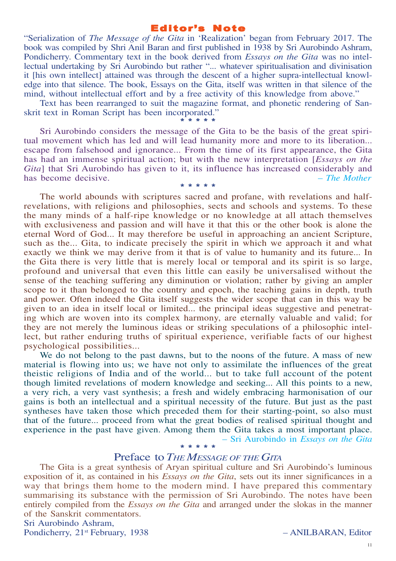#### Editor's Note

"Serialization of *The Message of the Gita* in 'Realization' began from February 2017. The book was compiled by Shri Anil Baran and first published in 1938 by Sri Aurobindo Ashram, Pondicherry. Commentary text in the book derived from *Essays on the Gita* was no intellectual undertaking by Sri Aurobindo but rather "... whatever spiritualisation and divinisation it [his own intellect] attained was through the descent of a higher supra-intellectual knowledge into that silence. The book, Essays on the Gita, itself was written in that silence of the mind, without intellectual effort and by a free activity of this knowledge from above."

Text has been rearranged to suit the magazine format, and phonetic rendering of Sanskrit text in Roman Script has been incorporated." \* \* \* \* \*

Sri Aurobindo considers the message of the Gita to be the basis of the great spiritual movement which has led and will lead humanity more and more to its liberation... escape from falsehood and ignorance... From the time of its first appearance, the Gita has had an immense spiritual action; but with the new interpretation [*Essays on the Gita*] that Sri Aurobindo has given to it, its influence has increased considerably and has become decisive. **Figure 1** *Channel and the Mother Channel and the Mother* **<b>***Channel Mother Channel Mother* \* \* \* \* \*

The world abounds with scriptures sacred and profane, with revelations and halfrevelations, with religions and philosophies, sects and schools and systems. To these the many minds of a half-ripe knowledge or no knowledge at all attach themselves with exclusiveness and passion and will have it that this or the other book is alone the eternal Word of God... It may therefore be useful in approaching an ancient Scripture, such as the... Gita, to indicate precisely the spirit in which we approach it and what exactly we think we may derive from it that is of value to humanity and its future... In the Gita there is very little that is merely local or temporal and its spirit is so large, profound and universal that even this little can easily be universalised without the sense of the teaching suffering any diminution or violation; rather by giving an ampler scope to it than belonged to the country and epoch, the teaching gains in depth, truth and power. Often indeed the Gita itself suggests the wider scope that can in this way be given to an idea in itself local or limited... the principal ideas suggestive and penetrating which are woven into its complex harmony, are eternally valuable and valid; for they are not merely the luminous ideas or striking speculations of a philosophic intellect, but rather enduring truths of spiritual experience, verifiable facts of our highest psychological possibilities...

We do not belong to the past dawns, but to the noons of the future. A mass of new material is flowing into us; we have not only to assimilate the influences of the great theistic religions of India and of the world... but to take full account of the potent though limited revelations of modern knowledge and seeking... All this points to a new, a very rich, a very vast synthesis; a fresh and widely embracing harmonisation of our gains is both an intellectual and a spiritual necessity of the future. But just as the past syntheses have taken those which preceded them for their starting-point, so also must that of the future... proceed from what the great bodies of realised spiritual thought and experience in the past have given. Among them the Gita takes a most important place. – Sri Aurobindo in *Essays on the Gita* \* \* \* \* \*

Preface to *THE MESSAGE OF THE GITA*

The Gita is a great synthesis of Aryan spiritual culture and Sri Aurobindo's luminous exposition of it, as contained in his *Essays on the Gita*, sets out its inner significances in a way that brings them home to the modern mind. I have prepared this commentary summarising its substance with the permission of Sri Aurobindo. The notes have been entirely compiled from the *Essays on the Gita* and arranged under the slokas in the manner of the Sanskrit commentators.

Sri Aurobindo Ashram,

Pondicherry, 21<sup>st</sup> February, 1938 – ANILBARAN, Editor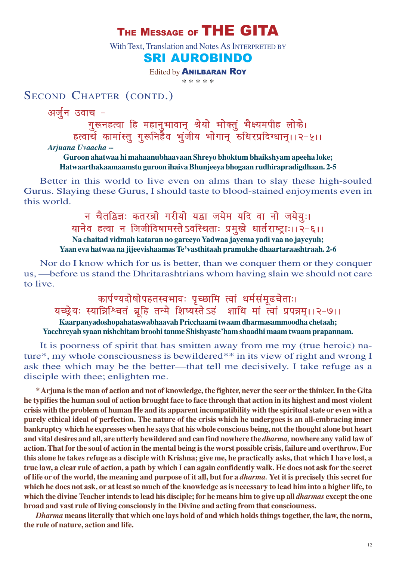## THE MESSAGE OF THE GITA

With Text, Translation and Notes As INTERPRETED BY

### SRI AUROBINDO

Edited by ANILBARAN ROY

\* \* \* \* \*

SECOND CHAPTER (CONTD.)

अर्जुन उवाच $-$ 

गुरूनहत्वा हि महानुभावान् श्रेयो भोक्तुं भैक्ष्यमपीह लोक<mark>े</mark>। हत्वार्थ कामांस्तु गुरूनिर्हैव भुंजीय भोगान् रुधिरप्रदिग्धान्।।२-५।।

*Arjuana Uvaacha* **--**

**Guroon ahatwaa hi mahaanubhaavaan Shreyo bhoktum bhaikshyam apeeha loke; Hatwaarthakaamaamstu guroon ihaiva Bhunjeeya bhogaan rudhirapradigdhaan. 2-5**

Better in this world to live even on alms than to slay these high-souled Gurus. Slaying these Gurus, I should taste to blood-stained enjoyments even in this world.

> न चैतद्विज्ञः कतरत्रो गरीयो यद्वा जयेम यदि वा नो जयेयुः। यानेव हत्वा न जिजीविषामस्ते ऽवस्थिताः प्रमुखे धार्तराष्ट्राः।।२-६।। **Na chaitad vidmah kataran no gareeyo Yadwaa jayema yadi vaa no jayeyuh; Yaan eva hatwaa na jijeevishaamas Te'vasthitaah pramukhe dhaartaraashtraah. 2-6**

Nor do I know which for us is better, than we conquer them or they conquer us, —before us stand the Dhritarashtrians whom having slain we should not care to live.

### कार्पण्यदोषोपहतस्वभावः पृच्छामि त्वां धर्मसंमूढचेताः। यच्छ्रेयः स्यात्रिश्चितं ब्रूहि तन्मे शिष्यस्तेऽहं शाधि मां त्वां प्रपत्रम्।।२-७।। **Kaarpanyadoshopahataswabhaavah Pricchaami twaam dharmasammoodha chetaah; Yacchreyah syaan nishchitam broohi tanme Shishyaste'ham shaadhi maam twaam prapannam.**

It is poorness of spirit that has smitten away from me my (true heroic) nature\*, my whole consciousness is bewildered\*\* in its view of right and wrong I ask thee which may be the better—that tell me decisively. I take refuge as a disciple with thee; enlighten me.

**\* Arjuna is the man of action and not of knowledge, the fighter, never the seer or the thinker. In the Gita he typifies the human soul of action brought face to face through that action in its highest and most violent crisis with the problem of human He and its apparent incompatibility with the spiritual state or even with a purely ethical ideal of perfection. The nature of the crisis which he undergoes is an all-embracing inner bankruptcy which he expresses when he says that his whole conscious being, not the thought alone but heart and vital desires and all, are utterly bewildered and can find nowhere the** *dharma,* **nowhere any valid law of action. That for the soul of action in the mental being is the worst possible crisis, failure and overthrow. For this alone he takes refuge as a disciple with Krishna; give me, he practically asks, that which I have lost, a true law, a clear rule of action, a path by which I can again confidently walk. He does not ask for the secret of life or of the world, the meaning and purpose of it all, but for a** *dharma.* **Yet it is precisely this secret for which he does not ask, or at least so much of the knowledge as is necessary to lead him into a higher life, to which the divine Teacher intends to lead his disciple; for he means him to give up all** *dharmas* **except the one broad and vast rule of living consciously in the Divine and acting from that consciouness.**

*Dharma* **means literally that which one lays hold of and which holds things together, the law, the norm, the rule of nature, action and life.**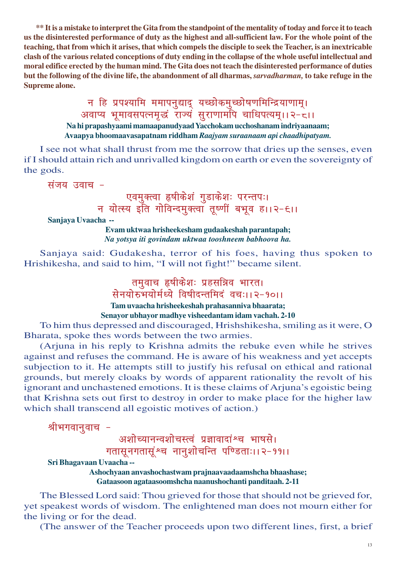**\*\* It is a mistake to interpret the Gita from the standpoint of the mentality of today and force it to teach us the disinterested performance of duty as the highest and all-sufficient law. For the whole point of the teaching, that from which it arises, that which compels the disciple to seek the Teacher, is an inextricable clash of the various related conceptions of duty ending in the collapse of the whole useful intellectual and moral edifice erected by the human mind. The Gita does not teach the disinterested performance of duties but the following of the divine life, the abandonment of all dharmas,** *sarvadharman,* **to take refuge in the Supreme alone.**

### न हि प्रपश्यामि ममापनुद्याद् यच्छोकमुच्छोषणमिन्द्रियाणाम्। अवाप्य भूमावसपत्नमृद्धं राज्यं सूराणामपि चाधिपत्यम् ।। २-८।। **Na hi prapashyaami mamaapanudyaad Yacchokam ucchoshanam indriyaanaam; Avaapya bhoomaavasapatnam riddham** *Raajyam suraanaam api chaadhipatyam.*

I see not what shall thrust from me the sorrow that dries up the senses, even if I should attain rich and unrivalled kingdom on earth or even the sovereignty of the gods.

संजय उवाच -

## एवमुक्त्वा हृषीकेशं गुडाकेशः परन्तप<mark>ः</mark>। न योत्स्य इति गोविन्दमुक्त्वा तूष्णीं बभूव हाा२-६ा।

**Sanjaya Uvaacha --**

**Evam uktwaa hrisheekesham gudaakeshah parantapah;** *Na yotsya iti govindam uktwaa tooshneem babhoova ha.*

Sanjaya said: Gudakesha, terror of his foes, having thus spoken to Hrishikesha, and said to him, "I will not fight!" became silent.

### तमुवाच<sub>्</sub>हषीकेशः प्रहसत्रिव भारत<mark>।</mark> सेनयोरुभयोर्मध्ये विषीदन्तमिदं वचः।।२-१०।। **Tam uvaacha hrisheekeshah prahasanniva bhaarata; Senayor ubhayor madhye visheedantam idam vachah. 2-10**

To him thus depressed and discouraged, Hrishshikesha, smiling as it were, O Bharata, spoke thes words between the two armies.

(Arjuna in his reply to Krishna admits the rebuke even while he strives against and refuses the command. He is aware of his weakness and yet accepts subjection to it. He attempts still to justify his refusal on ethical and rational grounds, but merely cloaks by words of apparent rationality the revolt of his ignorant and unchastened emotions. It is these claims of Arjuna's egoistic being that Krishna sets out first to destroy in order to make place for the higher law which shall transcend all egoistic motives of action.)

श्रीभगवानुवाच -

## अशोच्यानन्वशोचस्त्वं प्रज्ञावादांश्च भाषसे। गतासूनगतासूंश्च नानुशोचन्ति पण्डिताः।।२-११।।

**Sri Bhagavaan Uvaacha --**

**Ashochyaan anvashochastwam prajnaavaadaamshcha bhaashase; Gataasoon agataasoomshcha naanushochanti panditaah. 2-11**

The Blessed Lord said: Thou grieved for those that should not be grieved for, yet speakest words of wisdom. The enlightened man does not mourn either for the living or for the dead.

(The answer of the Teacher proceeds upon two different lines, first, a brief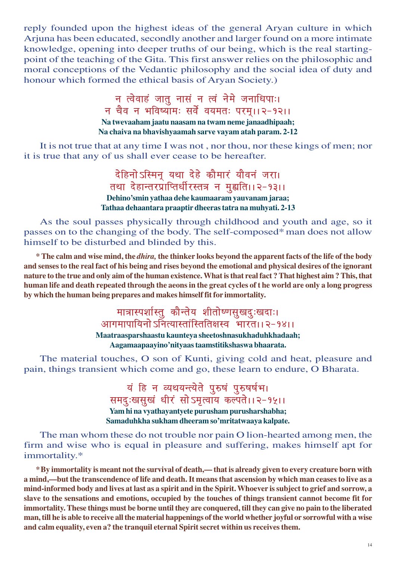reply founded upon the highest ideas of the general Aryan culture in which Arjuna has been educated, secondly another and larger found on a more intimate knowledge, opening into deeper truths of our being, which is the real startingpoint of the teaching of the Gita. This first answer relies on the philosophic and moral conceptions of the Vedantic philosophy and the social idea of duty and honour which formed the ethical basis of Aryan Society.)

> न त्वेवाहं जातु नासं न त्वं नेमे जनाधिपाः। न चैव न भविष्यामः सर्वे वयमतः परमु।।२-१२।। **Na twevaaham jaatu naasam na twam neme janaadhipaah; Na chaiva na bhavishyaamah sarve vayam atah param. 2-12**

It is not true that at any time I was not , nor thou, nor these kings of men; nor it is true that any of us shall ever cease to be hereafter.

#### देहिनो ऽस्मिन् यथा देहे कौमारं यौवनं जरा। तथा देहान्तरप्राप्तिर्धीरस्तत्र न मुह्यति।।२-१३।। **Dehino'smin yathaa dehe kaumaaram yauvanam jaraa; Tathaa dehaantara praaptir dheeras tatra na muhyati. 2-13**

As the soul passes physically through childhood and youth and age, so it passes on to the changing of the body. The self-composed\*man does not allow himself to be disturbed and blinded by this.

**\* The calm and wise mind, the** *dhira,* **the thinker looks beyond the apparent facts of the life of the body and senses to the real fact of his being and rises beyond the emotional and physical desires of the ignorant nature to the true and only aim of the human existence. What is that real fact ? That highest aim ? This, that human life and death repeated through the aeons in the great cycles of t he world are only a long progress by which the human being prepares and makes himself fit for immortality.**

> मात्रास्पर्शास्तु कौन्तेय शीतोष्णसुखदुःखदाः। आगमापायिनो ऽनित्यास्तांस्तितिक्षस्व भारत।।२-१४।। **Maatraasparshaastu kaunteya sheetoshnasukhaduhkhadaah; Aagamaapaayino'nityaas taamstitikshaswa bhaarata.**

The material touches, O son of Kunti, giving cold and heat, pleasure and pain, things transient which come and go, these learn to endure, O Bharata.

> यं हि न व्यथयन्त्येते पुरुषं पुरुषर्षभ। समदुःखसूखं धीरं सोऽमृत्वाॅय कल्पते।।२-१५।। **Yam hi na vyathayantyete purusham purusharshabha; Samaduhkha sukham dheeram so'mritatwaaya kalpate.**

The man whom these do not trouble nor pain O lion-hearted among men, the firm and wise who is equal in pleasure and suffering, makes himself apt for immortality.\*

**\*By immortality is meant not the survival of death,— that is already given to every creature born with a mind,—but the transcendence of life and death. It means that ascension by which man ceases to live as a mind-informed body and lives at last as a spirit and in the Spirit. Whoever is subject to grief and sorrow, a slave to the sensations and emotions, occupied by the touches of things transient cannot become fit for immortality. These things must be borne until they are conquered, till they can give no pain to the liberated man, till he is able to receive all the material happenings of the world whether joyful or sorrowful with a wise and calm equality, even a? the tranquil eternal Spirit secret within us receives them.**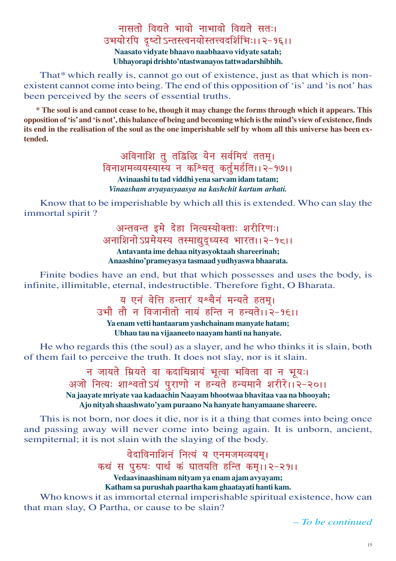### नासतो विद्यते भावो नाभावो विद्यते सतः। उभयोरपि दृष्टो ऽन्तस्त्वनयोस्तत्त्वदर्शिभिः।।२-१६।। **Naasato vidyate bhaavo naabhaavo vidyate satah; Ubhayorapi drishto'ntastwanayos tattwadarshibhih.**

That\* which really is, cannot go out of existence, just as that which is nonexistent cannot come into being. The end of this opposition of 'is' and 'is not' has been perceived by the seers of essential truths.

**\* The soul is and cannot cease to be, though it may change the forms through which it appears. This opposition of 'is' and 'is not', this balance of being and becoming which is the mind's view of existence, finds its end in the realisation of the soul as the one imperishable self by whom all this universe has been extended.**

> अविनाशि तु तद्विद्धि येन सर्वमिदं ततम्। विनाशमव्ययस्यास्य न कश्चित् कर्तुमर्हति।।२-99।। **Avinaashi tu tad viddhi yena sarvam idam tatam;** *Vinaasham avyayasyaasya na kashchit kartum arhati.*

Know that to be imperishable by which all this is extended. Who can slay the immortal spirit ?

> अन्तवन्त इमे देहा नित्यस्योक्ताः शरीरिणः। अनाशिनो ऽप्रमेयस्य तस्माद्युद्ध्यस्व भारता। २-१८।। **Antavanta ime dehaa nityasyoktaah shareerinah; Anaashino'prameyasya tasmaad yudhyaswa bhaarata.**

Finite bodies have an end, but that which possesses and uses the body, is infinite, illimitable, eternal, indestructible. Therefore fight, O Bharata.

> य एनं वेत्ति हन्तारं यश्चैनं मन्यते हतम्। उभौ तौ न विजानीतो नायं हन्ति न हन्यते।।२-१६।। **Ya enam vetti hantaaram yashchainam manyate hatam; Ubhau tau na vijaaneeto naayam hanti na hanyate.**

He who regards this (the soul) as a slayer, and he who thinks it is slain, both of them fail to perceive the truth. It does not slay, nor is it slain.

> न जायते म्रियते वा कदाचित्रायं भूत्वा भविता वा न भूयः। अजो नित्यः शाश्वतोऽयं पुराणो न हन्येते हन्यमाने शरीरे।।२-२०।। **Na jaayate mriyate vaa kadaachin Naayam bhootwaa bhavitaa vaa na bhooyah; Ajo nityah shaashwato'yam puraano Na hanyate hanyamaane shareere.**

This is not born, nor does it die, nor is it a thing that comes into being once and passing away will never come into being again. It is unborn, ancient, sempiternal; it is not slain with the slaying of the body.

> वेदाविनाशिनं नित्यं य एनमजमव्ययम्। कथं स पुरुषः पार्थ कं घातयति हन्ति कमुर्गे २-२१।। **Vedaavinaashinam nityam ya enam ajam avyayam; Katham sa purushah paartha kam ghaatayati hanti kam.**

Who knows it as immortal eternal imperishable spiritual existence, how can that man slay, O Partha, or cause to be slain?

– *To be continued*